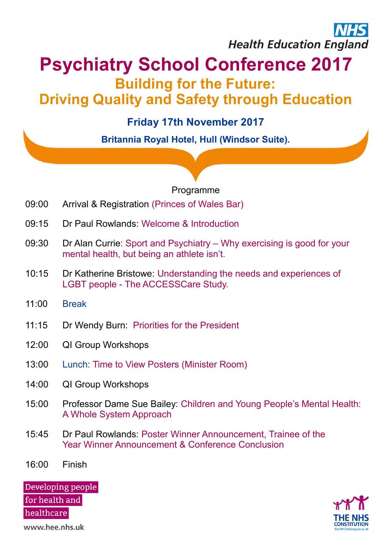# **Health Education England**

### **Psychiatry School Conference 2017 Building for the Future: Driving Quality and Safety through Education**

#### **Friday 17th November 2017**

**Britannia Royal Hotel, Hull (Windsor Suite).**

#### Programme

- 09:00 Arrival & Registration (Princes of Wales Bar)
- 09:15 Dr Paul Rowlands: Welcome & Introduction
- 09:30 Dr Alan Currie: Sport and Psychiatry Why exercising is good for your mental health, but being an athlete isn't.
- 10:15 Dr Katherine Bristowe: Understanding the needs and experiences of LGBT people - The ACCESSCare Study.
- 11:00 Break
- 11:15 Dr Wendy Burn: Priorities for the President
- 12:00 QI Group Workshops
- 13:00 Lunch: Time to View Posters (Minister Room)
- 14:00 QI Group Workshops
- 15:00 Professor Dame Sue Bailey: Children and Young People's Mental Health: A Whole System Approach
- 15:45 Dr Paul Rowlands: Poster Winner Announcement, Trainee of the Year Winner Announcement & Conference Conclusion
- 16:00 Finish

Developing people for health and healthcare



www.hee.nhs.uk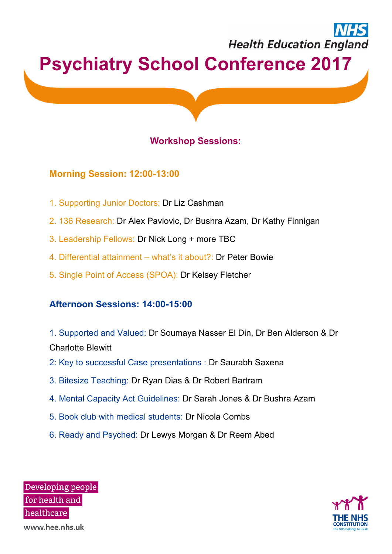## **Health Education England Psychiatry School Conference 2017**

#### **Workshop Sessions:**

#### **Morning Session: 12:00-13:00**

- 1. Supporting Junior Doctors: Dr Liz Cashman
- 2. 136 Research: Dr Alex Pavlovic, Dr Bushra Azam, Dr Kathy Finnigan
- 3. Leadership Fellows: Dr Nick Long + more TBC
- 4. Differential attainment what's it about?: Dr Peter Bowie
- 5. Single Point of Access (SPOA): Dr Kelsey Fletcher

#### **Afternoon Sessions: 14:00-15:00**

1. Supported and Valued: Dr Soumaya Nasser El Din, Dr Ben Alderson & Dr Charlotte Blewitt

- 2: Key to successful Case presentations : Dr Saurabh Saxena
- 3. Bitesize Teaching: Dr Ryan Dias & Dr Robert Bartram
- 4. Mental Capacity Act Guidelines: Dr Sarah Jones & Dr Bushra Azam
- 5. Book club with medical students: Dr Nicola Combs
- 6. Ready and Psyched: Dr Lewys Morgan & Dr Reem Abed

Developing people for health and healthcare www.hee.nhs.uk

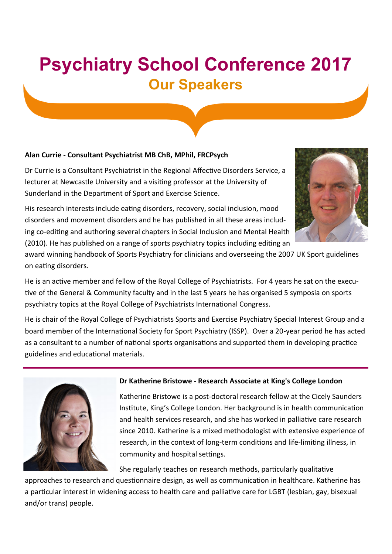### **Psychiatry School Conference 2017 Our Speakers**

#### **Alan Currie - Consultant Psychiatrist MB ChB, MPhil, FRCPsych**

Dr Currie is a Consultant Psychiatrist in the Regional Affective Disorders Service, a lecturer at Newcastle University and a visiting professor at the University of Sunderland in the Department of Sport and Exercise Science.



His research interests include eating disorders, recovery, social inclusion, mood disorders and movement disorders and he has published in all these areas including co-editing and authoring several chapters in Social Inclusion and Mental Health (2010). He has published on a range of sports psychiatry topics including editing an

award winning handbook of Sports Psychiatry for clinicians and overseeing the 2007 UK Sport guidelines on eating disorders.

He is an active member and fellow of the Royal College of Psychiatrists. For 4 years he sat on the executive of the General & Community faculty and in the last 5 years he has organised 5 symposia on sports psychiatry topics at the Royal College of Psychiatrists International Congress.

He is chair of the Royal College of Psychiatrists Sports and Exercise Psychiatry Special Interest Group and a board member of the International Society for Sport Psychiatry (ISSP). Over a 20-year period he has acted as a consultant to a number of national sports organisations and supported them in developing practice guidelines and educational materials.



#### **Dr Katherine Bristowe - Research Associate at King's College London**

Katherine Bristowe is a post-doctoral research fellow at the Cicely Saunders Institute, King's College London. Her background is in health communication and health services research, and she has worked in palliative care research since 2010. Katherine is a mixed methodologist with extensive experience of research, in the context of long-term conditions and life-limiting illness, in community and hospital settings.

She regularly teaches on research methods, particularly qualitative

approaches to research and questionnaire design, as well as communication in healthcare. Katherine has a particular interest in widening access to health care and palliative care for LGBT (lesbian, gay, bisexual and/or trans) people.